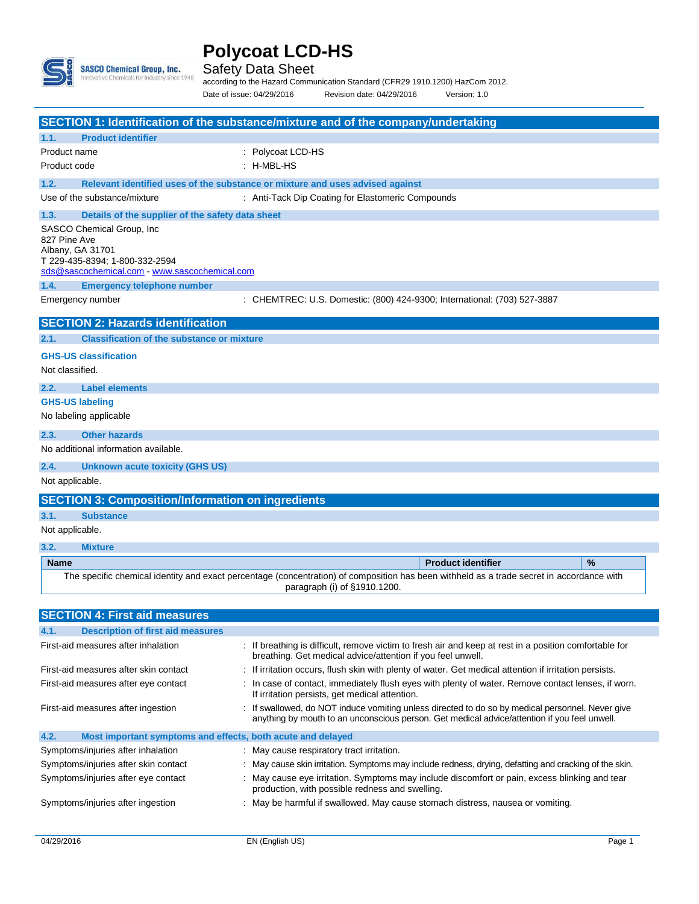

 $\overline{\phantom{a}}$ 

## Safety Data Sheet

according to the Hazard Communication Standard (CFR29 1910.1200) HazCom 2012. Date of issue: 04/29/2016 Revision date: 04/29/2016 Version: 1.0

|                                                                                                                                                   | <b>SECTION 1: Identification of the substance/mixture and of the company/undertaking</b>                                                                                                         |
|---------------------------------------------------------------------------------------------------------------------------------------------------|--------------------------------------------------------------------------------------------------------------------------------------------------------------------------------------------------|
| <b>Product identifier</b><br>1.1.                                                                                                                 |                                                                                                                                                                                                  |
| Product name                                                                                                                                      | : Polycoat LCD-HS                                                                                                                                                                                |
| Product code                                                                                                                                      | : H-MBL-HS                                                                                                                                                                                       |
| 1.2.                                                                                                                                              | Relevant identified uses of the substance or mixture and uses advised against                                                                                                                    |
| Use of the substance/mixture                                                                                                                      | : Anti-Tack Dip Coating for Elastomeric Compounds                                                                                                                                                |
| 1.3.<br>Details of the supplier of the safety data sheet                                                                                          |                                                                                                                                                                                                  |
| SASCO Chemical Group, Inc.<br>827 Pine Ave<br>Albany, GA 31701<br>T 229-435-8394; 1-800-332-2594<br>sds@sascochemical.com - www.sascochemical.com |                                                                                                                                                                                                  |
| 1.4.<br><b>Emergency telephone number</b>                                                                                                         |                                                                                                                                                                                                  |
| Emergency number                                                                                                                                  | : CHEMTREC: U.S. Domestic: (800) 424-9300; International: (703) 527-3887                                                                                                                         |
| <b>SECTION 2: Hazards identification</b>                                                                                                          |                                                                                                                                                                                                  |
| <b>Classification of the substance or mixture</b><br>2.1.                                                                                         |                                                                                                                                                                                                  |
| <b>GHS-US classification</b><br>Not classified.                                                                                                   |                                                                                                                                                                                                  |
| 2.2.<br><b>Label elements</b>                                                                                                                     |                                                                                                                                                                                                  |
| <b>GHS-US labeling</b>                                                                                                                            |                                                                                                                                                                                                  |
| No labeling applicable                                                                                                                            |                                                                                                                                                                                                  |
| 2.3.<br><b>Other hazards</b>                                                                                                                      |                                                                                                                                                                                                  |
| No additional information available.                                                                                                              |                                                                                                                                                                                                  |
| 2.4.<br><b>Unknown acute toxicity (GHS US)</b>                                                                                                    |                                                                                                                                                                                                  |
| Not applicable.                                                                                                                                   |                                                                                                                                                                                                  |
| <b>SECTION 3: Composition/Information on ingredients</b>                                                                                          |                                                                                                                                                                                                  |
| <b>Substance</b><br>3.1.                                                                                                                          |                                                                                                                                                                                                  |
| Not applicable.                                                                                                                                   |                                                                                                                                                                                                  |
| 3.2.<br><b>Mixture</b>                                                                                                                            |                                                                                                                                                                                                  |
| <b>Name</b>                                                                                                                                       | %<br><b>Product identifier</b>                                                                                                                                                                   |
|                                                                                                                                                   | The specific chemical identity and exact percentage (concentration) of composition has been withheld as a trade secret in accordance with<br>paragraph (i) of §1910.1200.                        |
| <b>SECTION 4: First aid measures</b>                                                                                                              |                                                                                                                                                                                                  |
| <b>Description of first aid measures</b><br>4.1.                                                                                                  |                                                                                                                                                                                                  |
| First-aid measures after inhalation                                                                                                               | : If breathing is difficult, remove victim to fresh air and keep at rest in a position comfortable for                                                                                           |
|                                                                                                                                                   | breathing. Get medical advice/attention if you feel unwell.                                                                                                                                      |
| First-aid measures after skin contact                                                                                                             | : If irritation occurs, flush skin with plenty of water. Get medical attention if irritation persists.                                                                                           |
| First-aid measures after eye contact                                                                                                              | : In case of contact, immediately flush eyes with plenty of water. Remove contact lenses, if worn.<br>If irritation persists, get medical attention.                                             |
| First-aid measures after ingestion                                                                                                                | : If swallowed, do NOT induce vomiting unless directed to do so by medical personnel. Never give<br>anything by mouth to an unconscious person. Get medical advice/attention if you feel unwell. |
| Most important symptoms and effects, both acute and delayed<br>4.2.                                                                               |                                                                                                                                                                                                  |
| Symptoms/injuries after inhalation                                                                                                                | : May cause respiratory tract irritation.                                                                                                                                                        |
| Symptoms/injuries after skin contact                                                                                                              | : May cause skin irritation. Symptoms may include redness, drying, defatting and cracking of the skin.                                                                                           |
| Symptoms/injuries after eye contact                                                                                                               | : May cause eye irritation. Symptoms may include discomfort or pain, excess blinking and tear<br>production, with possible redness and swelling.                                                 |
| Symptoms/injuries after ingestion                                                                                                                 | : May be harmful if swallowed. May cause stomach distress, nausea or vomiting.                                                                                                                   |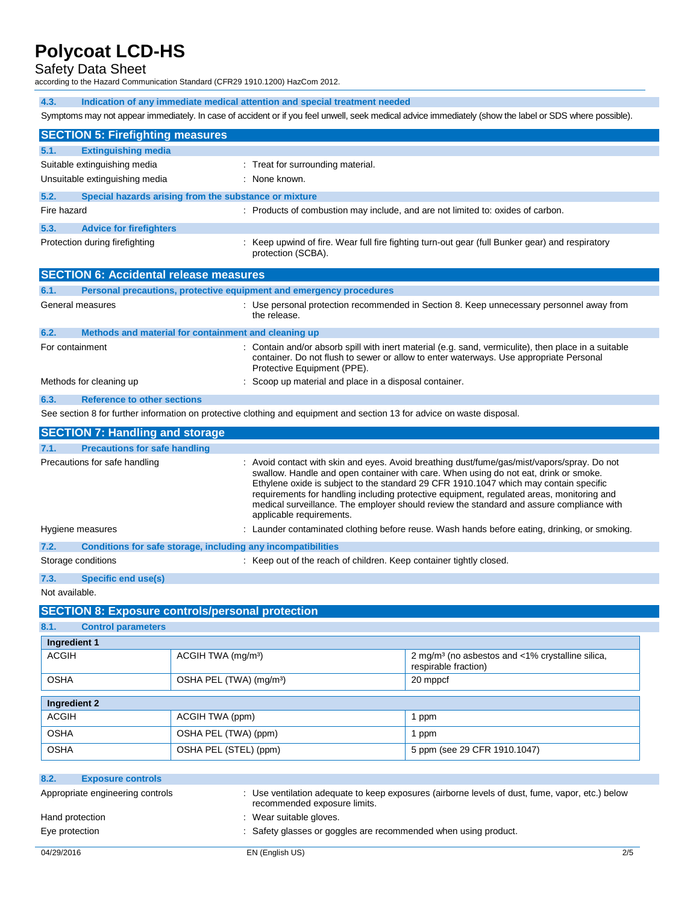Safety Data Sheet

according to the Hazard Communication Standard (CFR29 1910.1200) HazCom 2012.

| 4.3.        | Indication of any immediate medical attention and special treatment needed                                                                                                                                        |                                                                                                                       |  |
|-------------|-------------------------------------------------------------------------------------------------------------------------------------------------------------------------------------------------------------------|-----------------------------------------------------------------------------------------------------------------------|--|
|             | Symptoms may not appear immediately. In case of accident or if you feel unwell, seek medical advice immediately (show the label or SDS where possible).                                                           |                                                                                                                       |  |
|             | <b>SECTION 5: Firefighting measures</b>                                                                                                                                                                           |                                                                                                                       |  |
| 5.1.        | <b>Extinguishing media</b>                                                                                                                                                                                        |                                                                                                                       |  |
|             | Suitable extinguishing media                                                                                                                                                                                      | : Treat for surrounding material.                                                                                     |  |
|             | Unsuitable extinguishing media                                                                                                                                                                                    | : None known.                                                                                                         |  |
| 5.2.        | Special hazards arising from the substance or mixture                                                                                                                                                             |                                                                                                                       |  |
| Fire hazard |                                                                                                                                                                                                                   | : Products of combustion may include, and are not limited to: oxides of carbon.                                       |  |
| 5.3.        | <b>Advice for firefighters</b>                                                                                                                                                                                    |                                                                                                                       |  |
|             | Protection during firefighting                                                                                                                                                                                    | : Keep upwind of fire. Wear full fire fighting turn-out gear (full Bunker gear) and respiratory<br>protection (SCBA). |  |
|             | <b>SECTION 6: Accidental release measures</b>                                                                                                                                                                     |                                                                                                                       |  |
| 6.1.        | Personal precautions, protective equipment and emergency procedures                                                                                                                                               |                                                                                                                       |  |
|             | General measures                                                                                                                                                                                                  | : Use personal protection recommended in Section 8. Keep unnecessary personnel away from<br>the release.              |  |
| 6.2.        | Methods and material for containment and cleaning up                                                                                                                                                              |                                                                                                                       |  |
|             | : Contain and/or absorb spill with inert material (e.g. sand, vermiculite), then place in a suitable<br>For containment<br>container. Do not flush to sewer or allow to enter waterways. Use appropriate Personal |                                                                                                                       |  |

**6.3. Reference to other sections** See section 8 for further information on protective clothing and equipment and section 13 for advice on waste disposal.

Methods for cleaning up : Scoop up material and place in a disposal container.

Protective Equipment (PPE).

|      | <b>SECTION 7: Handling and storage</b>                       |                                                                                                                                                                                                                                                                                                                                                                                                                                                                                                   |
|------|--------------------------------------------------------------|---------------------------------------------------------------------------------------------------------------------------------------------------------------------------------------------------------------------------------------------------------------------------------------------------------------------------------------------------------------------------------------------------------------------------------------------------------------------------------------------------|
| 7.1. | <b>Precautions for safe handling</b>                         |                                                                                                                                                                                                                                                                                                                                                                                                                                                                                                   |
|      | Precautions for safe handling                                | : Avoid contact with skin and eyes. Avoid breathing dust/fume/gas/mist/vapors/spray. Do not<br>swallow. Handle and open container with care. When using do not eat, drink or smoke.<br>Ethylene oxide is subject to the standard 29 CFR 1910.1047 which may contain specific<br>requirements for handling including protective equipment, regulated areas, monitoring and<br>medical surveillance. The employer should review the standard and assure compliance with<br>applicable requirements. |
|      | Hygiene measures                                             | : Launder contaminated clothing before reuse. Wash hands before eating, drinking, or smoking.                                                                                                                                                                                                                                                                                                                                                                                                     |
| 7.2. | Conditions for safe storage, including any incompatibilities |                                                                                                                                                                                                                                                                                                                                                                                                                                                                                                   |
|      | Storage conditions                                           | : Keep out of the reach of children. Keep container tightly closed.                                                                                                                                                                                                                                                                                                                                                                                                                               |
| 7.3. | Specific end use(s)                                          |                                                                                                                                                                                                                                                                                                                                                                                                                                                                                                   |

Not available.

### **SECTION 8: Exposure controls/personal protection**

| 8.1.                                                                                                                                   | <b>Control parameters</b>                       |                       |                              |  |
|----------------------------------------------------------------------------------------------------------------------------------------|-------------------------------------------------|-----------------------|------------------------------|--|
| Ingredient 1                                                                                                                           |                                                 |                       |                              |  |
| <b>ACGIH</b><br>ACGIH TWA (mg/m <sup>3</sup> )<br>2 mg/m <sup>3</sup> (no asbestos and <1% crystalline silica,<br>respirable fraction) |                                                 |                       |                              |  |
| <b>OSHA</b>                                                                                                                            | OSHA PEL (TWA) (mg/m <sup>3</sup> )<br>20 mppcf |                       |                              |  |
| Ingredient 2                                                                                                                           |                                                 |                       |                              |  |
| ACGIH                                                                                                                                  |                                                 | ACGIH TWA (ppm)       | 1 ppm                        |  |
| <b>OSHA</b><br>OSHA PEL (TWA) (ppm)<br>ppm                                                                                             |                                                 |                       |                              |  |
| <b>OSHA</b>                                                                                                                            |                                                 | OSHA PEL (STEL) (ppm) | 5 ppm (see 29 CFR 1910.1047) |  |

| 8.2.           | <b>Exposure controls</b>         |                                                                                                                                 |     |
|----------------|----------------------------------|---------------------------------------------------------------------------------------------------------------------------------|-----|
|                | Appropriate engineering controls | : Use ventilation adequate to keep exposures (airborne levels of dust, fume, vapor, etc.) below<br>recommended exposure limits. |     |
|                | Hand protection                  | : Wear suitable gloves.                                                                                                         |     |
| Eye protection |                                  | : Safety glasses or goggles are recommended when using product.                                                                 |     |
| 04/29/2016     |                                  | EN (English US)                                                                                                                 | 2/5 |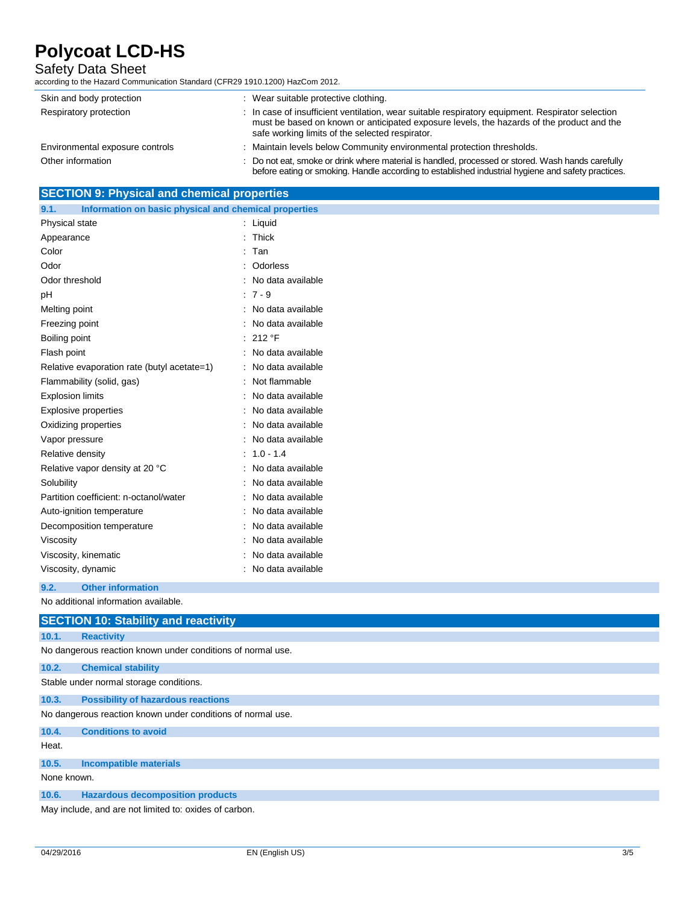## Safety Data Sheet

according to the Hazard Communication Standard (CFR29 1910.1200) HazCom 2012.

| Skin and body protection        | : Wear suitable protective clothing.                                                                                                                                                                                                             |
|---------------------------------|--------------------------------------------------------------------------------------------------------------------------------------------------------------------------------------------------------------------------------------------------|
| Respiratory protection          | : In case of insufficient ventilation, wear suitable respiratory equipment. Respirator selection<br>must be based on known or anticipated exposure levels, the hazards of the product and the<br>safe working limits of the selected respirator. |
| Environmental exposure controls | Maintain levels below Community environmental protection thresholds.                                                                                                                                                                             |
| Other information               | : Do not eat, smoke or drink where material is handled, processed or stored. Wash hands carefully<br>before eating or smoking. Handle according to established industrial hygiene and safety practices.                                          |

# **SECTION 9: Physical and chemical properties**

| Information on basic physical and chemical properties<br>9.1. |    |                   |
|---------------------------------------------------------------|----|-------------------|
| Physical state                                                | ÷  | Liquid            |
| Appearance                                                    |    | Thick             |
| Color                                                         |    | Tan               |
| Odor                                                          |    | Odorless          |
| Odor threshold                                                |    | No data available |
| рH                                                            |    | $:7 - 9$          |
| Melting point                                                 |    | No data available |
| Freezing point                                                |    | No data available |
| Boiling point                                                 | ۰. | 212 °F            |
| Flash point                                                   |    | No data available |
| Relative evaporation rate (butyl acetate=1)                   |    | No data available |
| Flammability (solid, gas)                                     | ۰  | Not flammable     |
| <b>Explosion limits</b>                                       |    | No data available |
| <b>Explosive properties</b>                                   |    | No data available |
| Oxidizing properties                                          |    | No data available |
| Vapor pressure                                                |    | No data available |
| Relative density                                              |    | $1.0 - 1.4$       |
| Relative vapor density at 20 °C                               |    | No data available |
| Solubility                                                    |    | No data available |
| Partition coefficient: n-octanol/water                        |    | No data available |
| Auto-ignition temperature                                     |    | No data available |
| Decomposition temperature                                     |    | No data available |
| Viscosity                                                     |    | No data available |
| Viscosity, kinematic                                          |    | No data available |
| Viscosity, dynamic                                            |    | No data available |

**9.2. Other information**

No additional information available.

|             | <b>SECTION 10: Stability and reactivity</b>                 |
|-------------|-------------------------------------------------------------|
| 10.1.       | <b>Reactivity</b>                                           |
|             | No dangerous reaction known under conditions of normal use. |
| 10.2.       | <b>Chemical stability</b>                                   |
|             | Stable under normal storage conditions.                     |
| 10.3.       | <b>Possibility of hazardous reactions</b>                   |
|             | No dangerous reaction known under conditions of normal use. |
| 10.4.       | <b>Conditions to avoid</b>                                  |
| Heat.       |                                                             |
| 10.5.       | <b>Incompatible materials</b>                               |
| None known. |                                                             |
| 10.6.       | <b>Hazardous decomposition products</b>                     |
|             | May include, and are not limited to: oxides of carbon.      |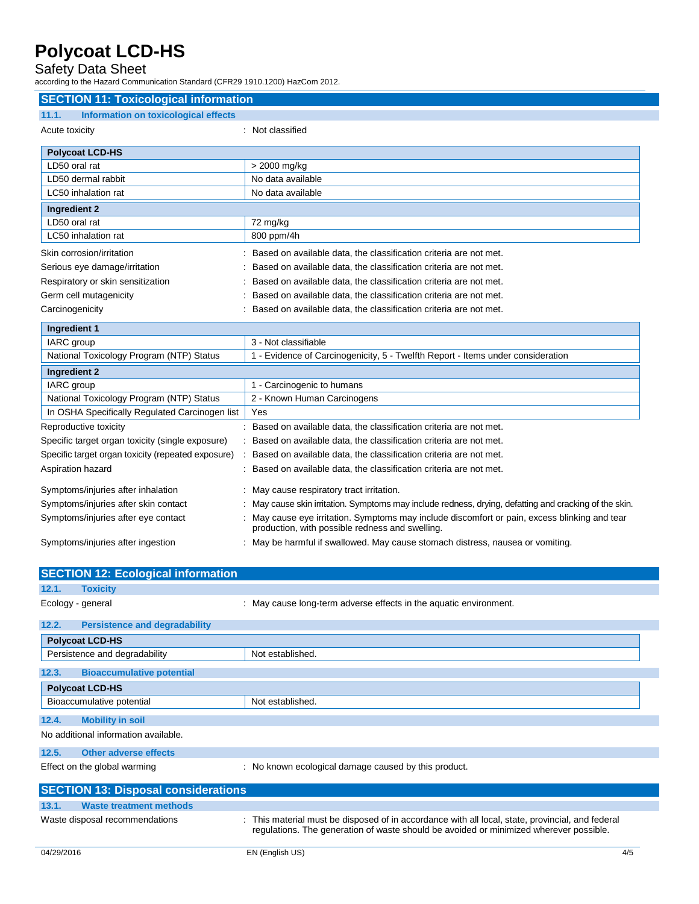Safety Data Sheet

according to the Hazard Communication Standard (CFR29 1910.1200) HazCom 2012.

| <b>SECTION 11: Toxicological information</b>         |                                                                                                                                                |
|------------------------------------------------------|------------------------------------------------------------------------------------------------------------------------------------------------|
|                                                      |                                                                                                                                                |
| <b>Information on toxicological effects</b><br>11.1. |                                                                                                                                                |
| Acute toxicity                                       | : Not classified                                                                                                                               |
| <b>Polycoat LCD-HS</b>                               |                                                                                                                                                |
| LD50 oral rat                                        | > 2000 mg/kg                                                                                                                                   |
| LD50 dermal rabbit                                   | No data available                                                                                                                              |
| LC50 inhalation rat                                  | No data available                                                                                                                              |
| <b>Ingredient 2</b>                                  |                                                                                                                                                |
| LD50 oral rat                                        | 72 mg/kg                                                                                                                                       |
| LC50 inhalation rat                                  | 800 ppm/4h                                                                                                                                     |
| Skin corrosion/irritation                            | Based on available data, the classification criteria are not met.                                                                              |
| Serious eye damage/irritation                        | Based on available data, the classification criteria are not met.                                                                              |
| Respiratory or skin sensitization                    | Based on available data, the classification criteria are not met.                                                                              |
| Germ cell mutagenicity                               | Based on available data, the classification criteria are not met.                                                                              |
| Carcinogenicity                                      | Based on available data, the classification criteria are not met.                                                                              |
| Ingredient 1                                         |                                                                                                                                                |
| IARC group                                           | 3 - Not classifiable                                                                                                                           |
| National Toxicology Program (NTP) Status             | 1 - Evidence of Carcinogenicity, 5 - Twelfth Report - Items under consideration                                                                |
| <b>Ingredient 2</b>                                  |                                                                                                                                                |
| IARC group                                           | 1 - Carcinogenic to humans                                                                                                                     |
| National Toxicology Program (NTP) Status             | 2 - Known Human Carcinogens                                                                                                                    |
| In OSHA Specifically Regulated Carcinogen list       | Yes                                                                                                                                            |
| Reproductive toxicity                                | Based on available data, the classification criteria are not met.                                                                              |
| Specific target organ toxicity (single exposure)     | Based on available data, the classification criteria are not met.                                                                              |
| Specific target organ toxicity (repeated exposure)   | Based on available data, the classification criteria are not met.                                                                              |
| Aspiration hazard                                    | Based on available data, the classification criteria are not met.                                                                              |
| Symptoms/injuries after inhalation                   | May cause respiratory tract irritation.                                                                                                        |
| Symptoms/injuries after skin contact                 | May cause skin irritation. Symptoms may include redness, drying, defatting and cracking of the skin.                                           |
| Symptoms/injuries after eye contact                  | May cause eye irritation. Symptoms may include discomfort or pain, excess blinking and tear<br>production, with possible redness and swelling. |
| Symptoms/injuries after ingestion                    | May be harmful if swallowed. May cause stomach distress, nausea or vomiting.                                                                   |
|                                                      |                                                                                                                                                |
| <b>SECTION 12: Ecological information</b>            |                                                                                                                                                |
| 12.1.<br><b>Toxicity</b>                             |                                                                                                                                                |

Ecology - general **Ecology** - general in the aquatic environment. **12.2. Persistence and degradability Polycoat LCD-HS** Persistence and degradability Not established. **12.3. Bioaccumulative potential Polycoat LCD-HS** Bioaccumulative potential Not established. **12.4. Mobility in soil** No additional information available. **12.5. Other adverse effects** Effect on the global warming : No known ecological damage caused by this product. **SECTION 13: Disposal considerations 13.1. Waste treatment methods** Waste disposal recommendations : This material must be disposed of in accordance with all local, state, provincial, and federal regulations. The generation of waste should be avoided or minimized wherever possible.